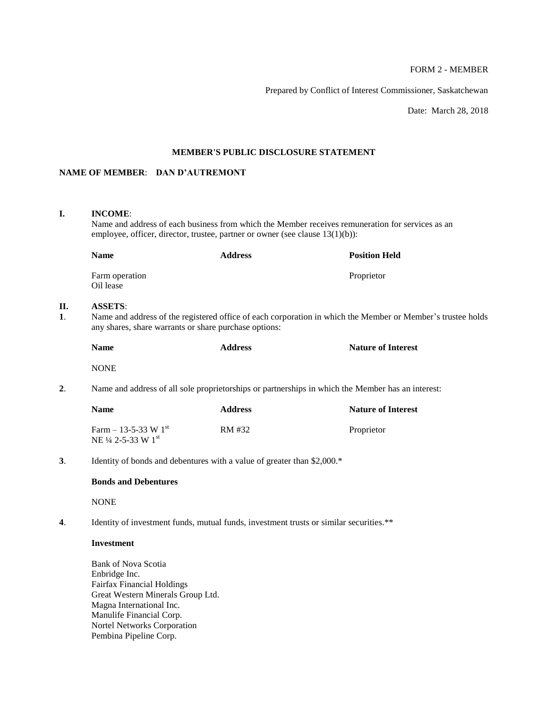# FORM 2 - MEMBER

Prepared by Conflict of Interest Commissioner, Saskatchewan

Date: March 28, 2018

## **MEMBER'S PUBLIC DISCLOSURE STATEMENT**

# **NAME OF MEMBER**: **DAN D'AUTREMONT**

## **I. INCOME**:

**II.** 

Name and address of each business from which the Member receives remuneration for services as an employee, officer, director, trustee, partner or owner (see clause 13(1)(b)):

|          | <b>Name</b>                                                                                       | <b>Address</b>                                                                                                                                                       | <b>Position Held</b>      |  |  |
|----------|---------------------------------------------------------------------------------------------------|----------------------------------------------------------------------------------------------------------------------------------------------------------------------|---------------------------|--|--|
|          | Farm operation<br>Oil lease                                                                       |                                                                                                                                                                      | Proprietor                |  |  |
| П.<br>1. | <b>ASSETS:</b>                                                                                    | Name and address of the registered office of each corporation in which the Member or Member's trustee holds<br>any shares, share warrants or share purchase options: |                           |  |  |
|          | <b>Name</b>                                                                                       | <b>Address</b>                                                                                                                                                       | <b>Nature of Interest</b> |  |  |
|          | <b>NONE</b>                                                                                       |                                                                                                                                                                      |                           |  |  |
| 2.       | Name and address of all sole proprietorships or partnerships in which the Member has an interest: |                                                                                                                                                                      |                           |  |  |
|          | <b>Name</b>                                                                                       | <b>Address</b>                                                                                                                                                       | <b>Nature of Interest</b> |  |  |
|          | Farm $- 13 - 5 - 33$ W $1st$<br>NE 1/4 2-5-33 W 1st                                               | RM #32                                                                                                                                                               | Proprietor                |  |  |
| 3.       | Identity of bonds and debentures with a value of greater than \$2,000.*                           |                                                                                                                                                                      |                           |  |  |
|          | <b>Bonds and Debentures</b>                                                                       |                                                                                                                                                                      |                           |  |  |
|          | <b>NONE</b>                                                                                       |                                                                                                                                                                      |                           |  |  |
|          |                                                                                                   |                                                                                                                                                                      |                           |  |  |

**4**. Identity of investment funds, mutual funds, investment trusts or similar securities.\*\*

### **Investment**

Bank of Nova Scotia Enbridge Inc. Fairfax Financial Holdings Great Western Minerals Group Ltd. Magna International Inc. Manulife Financial Corp. Nortel Networks Corporation Pembina Pipeline Corp.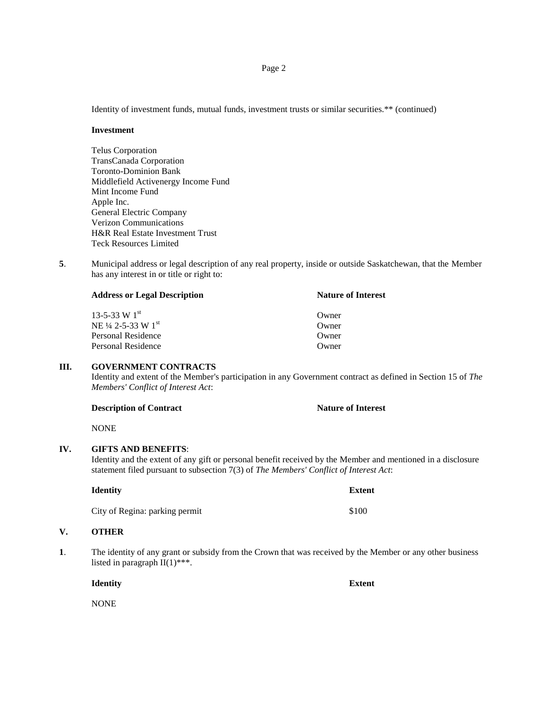Identity of investment funds, mutual funds, investment trusts or similar securities.\*\* (continued)

#### **Investment**

Telus Corporation TransCanada Corporation Toronto-Dominion Bank Middlefield Activenergy Income Fund Mint Income Fund Apple Inc. General Electric Company Verizon Communications H&R Real Estate Investment Trust Teck Resources Limited

**5**. Municipal address or legal description of any real property, inside or outside Saskatchewan, that the Member has any interest in or title or right to:

| <b>Address or Legal Description</b> | <b>Nature of Interest</b> |  |
|-------------------------------------|---------------------------|--|
| $13 - 5 - 33$ W $1^{st}$            | Owner                     |  |
| NE 1/4 2-5-33 W 1st                 | Owner                     |  |
| Personal Residence                  | Owner                     |  |
| Personal Residence                  | Owner                     |  |

### **III. GOVERNMENT CONTRACTS**

Identity and extent of the Member's participation in any Government contract as defined in Section 15 of *The Members' Conflict of Interest Act*:

**Description of Contract Nature of Interest** 

NONE

## **IV. GIFTS AND BENEFITS**:

Identity and the extent of any gift or personal benefit received by the Member and mentioned in a disclosure statement filed pursuant to subsection 7(3) of *The Members' Conflict of Interest Act*:

| <b>Identity</b>                | Extent |
|--------------------------------|--------|
| City of Regina: parking permit | \$100  |

### **V. OTHER**

**1**. The identity of any grant or subsidy from the Crown that was received by the Member or any other business listed in paragraph  $II(1)$ <sup>\*\*\*</sup>.

**Identity Extent**

NONE